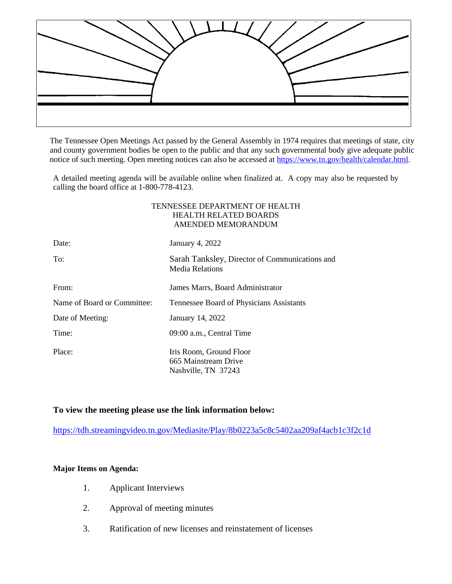

The Tennessee Open Meetings Act passed by the General Assembly in 1974 requires that meetings of state, city and county government bodies be open to the public and that any such governmental body give adequate public notice of such meeting. Open meeting notices can also be accessed at [https://www.tn.gov/health/calendar.html.](https://www.tn.gov/health/calendar.html)

A detailed meeting agenda will be available online when finalized at. A copy may also be requested by calling the board office at 1-800-778-4123.

## TENNESSEE DEPARTMENT OF HEALTH HEALTH RELATED BOARDS AMENDED MEMORANDUM

| Date:                       | January 4, 2022                                                        |
|-----------------------------|------------------------------------------------------------------------|
| To:                         | Sarah Tanksley, Director of Communications and<br>Media Relations      |
| From:                       | James Marrs, Board Administrator                                       |
| Name of Board or Committee: | Tennessee Board of Physicians Assistants                               |
| Date of Meeting:            | January 14, 2022                                                       |
| Time:                       | 09:00 a.m., Central Time                                               |
| Place:                      | Iris Room, Ground Floor<br>665 Mainstream Drive<br>Nashville, TN 37243 |

## **To view the meeting please use the link information below:**

<https://tdh.streamingvideo.tn.gov/Mediasite/Play/8b0223a5c8c5402aa209af4acb1c3f2c1d>

## **Major Items on Agenda:**

- 1. Applicant Interviews
- 2. Approval of meeting minutes
- 3. Ratification of new licenses and reinstatement of licenses